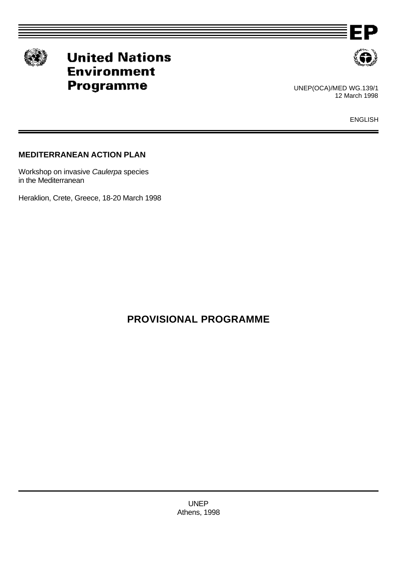

# **United Nations Environment** Programme



EΡ

UNEP(OCA)/MED WG.139/1 12 March 1998

ENGLISH

# **MEDITERRANEAN ACTION PLAN**

Workshop on invasive *Caulerpa* species in the Mediterranean

Heraklion, Crete, Greece, 18-20 March 1998

# **PROVISIONAL PROGRAMME**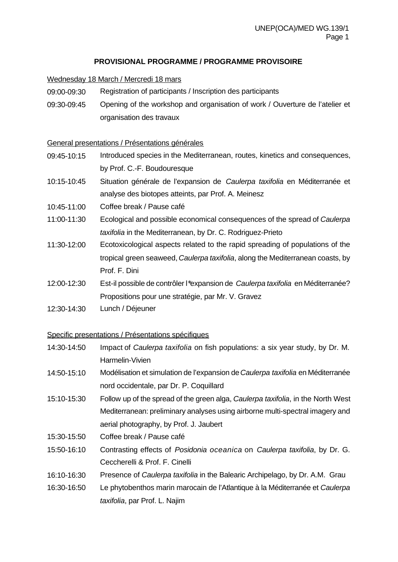## **PROVISIONAL PROGRAMME / PROGRAMME PROVISOIRE**

#### Wednesday 18 March / Mercredi 18 mars

- 09:00-09:30 Registration of participants / Inscription des participants
- 09:30-09:45 Opening of the workshop and organisation of work / Ouverture de l'atelier et organisation des travaux

#### General presentations / Présentations générales

- 09:45-10:15 Introduced species in the Mediterranean, routes, kinetics and consequences, by Prof. C.-F. Boudouresque
- 10:15-10:45 Situation générale de l'expansion de *Caulerpa taxifolia* en Méditerranée et analyse des biotopes atteints, par Prof. A. Meinesz
- 10:45-11:00 Coffee break / Pause café
- 11:00-11:30 Ecological and possible economical consequences of the spread of *Caulerpa taxifolia* in the Mediterranean, by Dr. C. Rodriguez-Prieto
- 11:30-12:00 Ecotoxicological aspects related to the rapid spreading of populations of the tropical green seaweed, *Caulerpa taxifolia*, along the Mediterranean coasts, by Prof. F. Dini
- 12:00-12:30 Est-il possible de contrôler l\*expansion de *Caulerpa taxifolia* en Méditerranée? Propositions pour une stratégie, par Mr. V. Gravez
- 12:30-14:30 Lunch / Déjeuner

#### Specific presentations / Présentations spécifiques

- 14:30-14:50 Impact of *Caulerpa taxifolia* on fish populations: a six year study, by Dr. M. Harmelin-Vivien
- 14:50-15:10 Modélisation et simulation de l'expansion de *Caulerpa taxifolia* en Méditerranée nord occidentale, par Dr. P. Coquillard
- 15:10-15:30 Follow up of the spread of the green alga, *Caulerpa taxifolia*, in the North West Mediterranean: preliminary analyses using airborne multi-spectral imagery and aerial photography, by Prof. J. Jaubert
- 15:30-15:50 Coffee break / Pause café
- 15:50-16:10 Contrasting effects of *Posidonia oceanica* on *Caulerpa taxifolia*, by Dr. G. Ceccherelli & Prof. F. Cinelli
- 16:10-16:30 Presence of *Caulerpa taxifolia* in the Balearic Archipelago, by Dr. A.M. Grau
- 16:30-16:50 Le phytobenthos marin marocain de l'Atlantique à la Méditerranée et *Caulerpa taxifolia*, par Prof. L. Najim